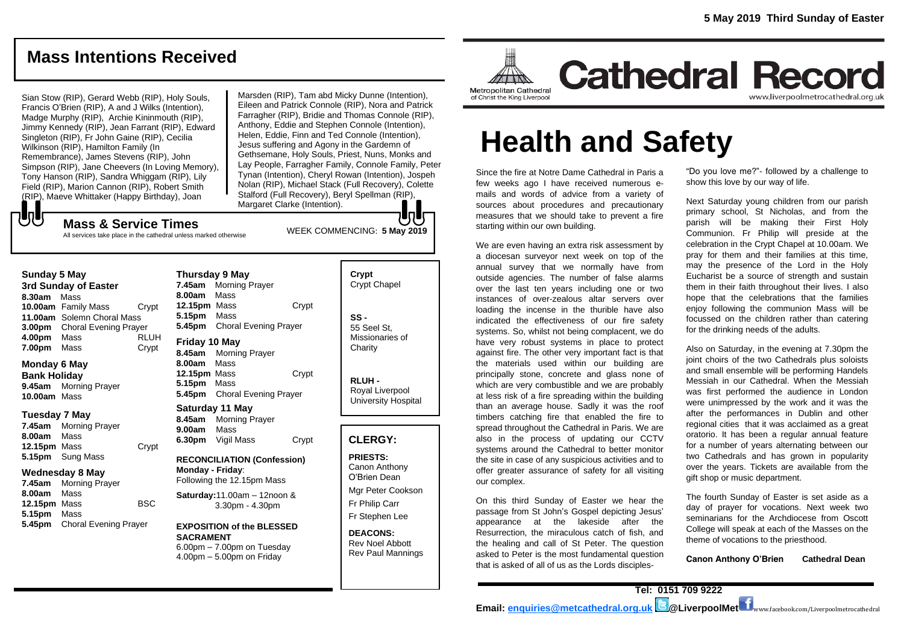# **Mass Intentions Received**

Sian Stow (RIP), Gerard Webb (RIP), Holy Souls, Francis O'Brien (RIP), A and J Wilks (Intention), Madge Murphy (RIP), Archie Kininmouth (RIP), Jimmy Kennedy (RIP), Jean Farrant (RIP), Edward Singleton (RIP), Fr John Gaine (RIP), Cecilia Wilkinson (RIP), Hamilton Family (In Remembrance), James Stevens (RIP), John Simpson (RIP), Jane Cheevers (In Loving Memory), Tony Hanson (RIP), Sandra Whiggam (RIP), Lily Field (RIP), Marion Cannon (RIP), Robert Smith (RIP), Maeve Whittaker (Happy Birthday), Joan

Marsden (RIP), Tam abd Micky Dunne (Intention), Eileen and Patrick Connole (RIP), Nora and Patrick Farragher (RIP), Bridie and Thomas Connole (RIP), Anthony, Eddie and Stephen Connole (Intention), Helen, Eddie, Finn and Ted Connole (Intention), Jesus suffering and Agony in the Gardemn of Gethsemane, Holy Souls, Priest, Nuns, Monks and Lay People, Farragher Family, Connole Family, Peter Tynan (Intention), Cheryl Rowan (Intention), Jospeh Nolan (RIP), Michael Stack (Full Recovery), Colette Stalford (Full Recovery), Beryl Spellman (RIP), Margaret Clarke (Intention). lollo

もし **Mass & Service Times**

All services take place in the cathedral unless marked otherwise

#### **Sunday 5 May**

**3rd Sunday of Easter 8.30am** Mass **10.00am** Family Mass Crypt **11.00am** Solemn Choral Mass **3.00pm** Choral Evening Prayer **4.00pm** Mass RLUH **7.00pm** Mass Crypt

#### **Monday 6 May**

**Bank Holiday 9.45am** Morning Prayer **10.00am** Mass

#### **Tuesday 7 May**

**7.45am** Morning Prayer **8.00am** Mass **12.15pm** Mass Crypt **5.15pm** Sung Mass

#### **Wednesday 8 May**

**7.45am** Morning Prayer **8.00am** Mass **12.15pm** Mass BSC **5.15pm** Mass **5.45pm** Choral Evening Prayer

**7.45am** Morning Prayer **8.00am** Mass **12.15pm** Mass Crypt **5.15pm** Mass **5.45pm** Choral Evening Prayer **Friday 10 May**

**8.45am** Morning Prayer **8.00am** Mass **12.15pm** Mass Crypt **5.15pm** Mass **5.45pm** Choral Evening Prayer

**Saturday 11 May 8.45am** Morning Prayer **9.00am** Mass **6.30pm** Vigil Mass Crypt

**RECONCILIATION (Confession) Monday - Friday**: Following the 12.15pm Mass

**Saturday:**11.00am – 12noon & 3.30pm - 4.30pm

#### **EXPOSITION of the BLESSED SACRAMENT**  $6.00$ pm –  $7.00$ pm on Tuesdav 4.00pm – 5.00pm on Friday

Crypt Chapel **SS -** 55 Seel St, Missionaries of **Charity** 

**Crypt** 

WEEK COMMENCING: **5 May 2019**

**RLUH -** Royal Liverpool University Hospital

#### **CLERGY:**

**PRIESTS:** Canon Anthony O'Brien *Dean*

Mgr Peter Cookson Fr Philip Carr Fr Stephen Lee

**DEACONS:** Rev Noel Abbott Rev Paul Mannings



**Cathedral Record** www.liverpoolmetrocathedral.org.uk

# **Health and Safety**

Since the fire at Notre Dame Cathedral in Paris a few weeks ago I have received numerous emails and words of advice from a variety of sources about procedures and precautionary measures that we should take to prevent a fire starting within our own building.

We are even having an extra risk assessment by a diocesan surveyor next week on top of the annual survey that we normally have from outside agencies. The number of false alarms over the last ten years including one or two instances of over-zealous altar servers over loading the incense in the thurible have also indicated the effectiveness of our fire safety systems. So, whilst not being complacent, we do have very robust systems in place to protect against fire. The other very important fact is that the materials used within our building are principally stone, concrete and glass none of which are very combustible and we are probably at less risk of a fire spreading within the building than an average house. Sadly it was the roof timbers catching fire that enabled the fire to spread throughout the Cathedral in Paris. We are also in the process of updating our CCTV systems around the Cathedral to better monitor the site in case of any suspicious activities and to offer greater assurance of safety for all visiting our complex.

On this third Sunday of Easter we hear the passage from St John's Gospel depicting Jesus' appearance at the lakeside after the Resurrection, the miraculous catch of fish, and the healing and call of St Peter. The question asked to Peter is the most fundamental question that is asked of all of us as the Lords disciples"Do you love me?"- followed by a challenge to show this love by our way of life.

Next Saturday young children from our parish primary school, St Nicholas, and from the parish will be making their First Holy Communion. Fr Philip will preside at the celebration in the Crypt Chapel at 10.00am. We pray for them and their families at this time, may the presence of the Lord in the Holy Eucharist be a source of strength and sustain them in their faith throughout their lives. I also hope that the celebrations that the families enjoy following the communion Mass will be focussed on the children rather than catering for the drinking needs of the adults.

Also on Saturday, in the evening at 7.30pm the joint choirs of the two Cathedrals plus soloists and small ensemble will be performing Handels Messiah in our Cathedral. When the Messiah was first performed the audience in London were unimpressed by the work and it was the after the performances in Dublin and other regional cities that it was acclaimed as a great oratorio. It has been a regular annual feature for a number of years alternating between our two Cathedrals and has grown in popularity over the years. Tickets are available from the gift shop or music department.

The fourth Sunday of Easter is set aside as a day of prayer for vocations. Next week two seminarians for the Archdiocese from Oscott College will speak at each of the Masses on the theme of vocations to the priesthood.

**Canon Anthony O'Brien Cathedral Dean**

# **Thursday 9 May**